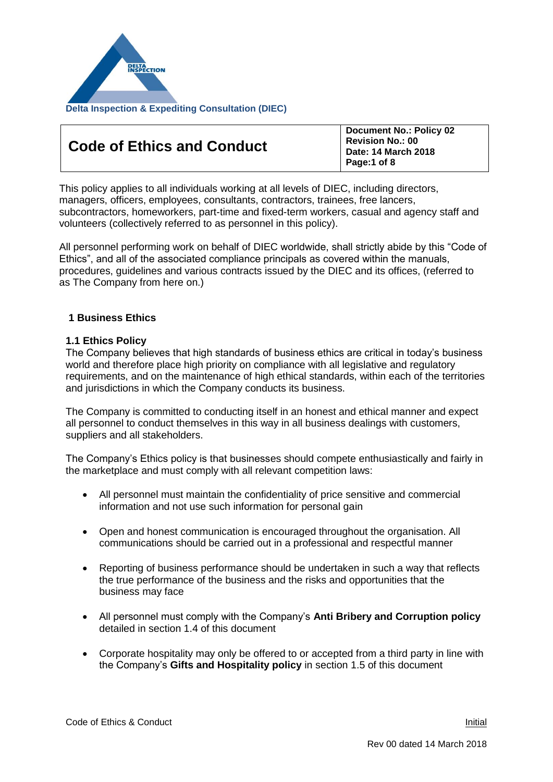

| Page:1 of 8 |
|-------------|
|-------------|

**Document No.: Policy 02**

This policy applies to all individuals working at all levels of DIEC, including directors, managers, officers, employees, consultants, contractors, trainees, free lancers, subcontractors, homeworkers, part-time and fixed-term workers, casual and agency staff and volunteers (collectively referred to as personnel in this policy).

All personnel performing work on behalf of DIEC worldwide, shall strictly abide by this "Code of Ethics", and all of the associated compliance principals as covered within the manuals, procedures, guidelines and various contracts issued by the DIEC and its offices, (referred to as The Company from here on.)

# **1 Business Ethics**

## **1.1 Ethics Policy**

The Company believes that high standards of business ethics are critical in today's business world and therefore place high priority on compliance with all legislative and regulatory requirements, and on the maintenance of high ethical standards, within each of the territories and jurisdictions in which the Company conducts its business.

The Company is committed to conducting itself in an honest and ethical manner and expect all personnel to conduct themselves in this way in all business dealings with customers, suppliers and all stakeholders.

The Company's Ethics policy is that businesses should compete enthusiastically and fairly in the marketplace and must comply with all relevant competition laws:

- All personnel must maintain the confidentiality of price sensitive and commercial information and not use such information for personal gain
- Open and honest communication is encouraged throughout the organisation. All communications should be carried out in a professional and respectful manner
- Reporting of business performance should be undertaken in such a way that reflects the true performance of the business and the risks and opportunities that the business may face
- All personnel must comply with the Company's **Anti Bribery and Corruption policy**  detailed in section 1.4 of this document
- Corporate hospitality may only be offered to or accepted from a third party in line with the Company's **Gifts and Hospitality policy** in section 1.5 of this document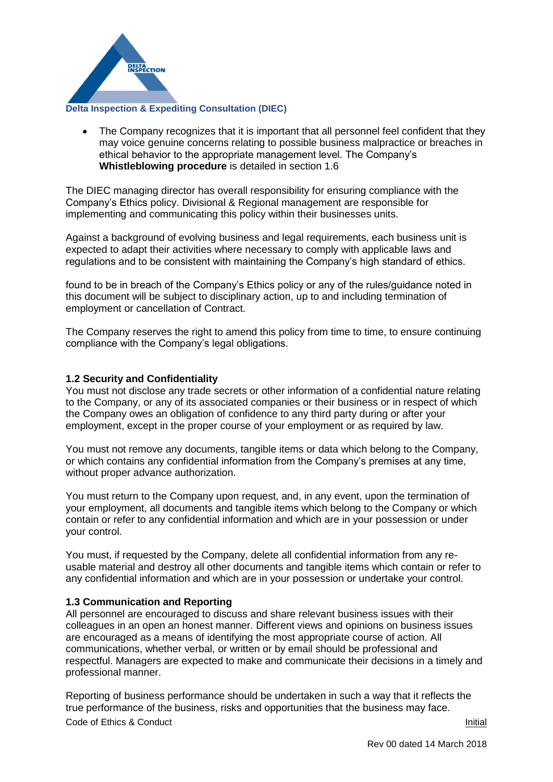

• The Company recognizes that it is important that all personnel feel confident that they may voice genuine concerns relating to possible business malpractice or breaches in ethical behavior to the appropriate management level. The Company's **Whistleblowing procedure** is detailed in section 1.6

The DIEC managing director has overall responsibility for ensuring compliance with the Company's Ethics policy. Divisional & Regional management are responsible for implementing and communicating this policy within their businesses units.

Against a background of evolving business and legal requirements, each business unit is expected to adapt their activities where necessary to comply with applicable laws and regulations and to be consistent with maintaining the Company's high standard of ethics.

found to be in breach of the Company's Ethics policy or any of the rules/guidance noted in this document will be subject to disciplinary action, up to and including termination of employment or cancellation of Contract.

The Company reserves the right to amend this policy from time to time, to ensure continuing compliance with the Company's legal obligations.

## **1.2 Security and Confidentiality**

You must not disclose any trade secrets or other information of a confidential nature relating to the Company, or any of its associated companies or their business or in respect of which the Company owes an obligation of confidence to any third party during or after your employment, except in the proper course of your employment or as required by law.

You must not remove any documents, tangible items or data which belong to the Company, or which contains any confidential information from the Company's premises at any time, without proper advance authorization.

You must return to the Company upon request, and, in any event, upon the termination of your employment, all documents and tangible items which belong to the Company or which contain or refer to any confidential information and which are in your possession or under your control.

You must, if requested by the Company, delete all confidential information from any reusable material and destroy all other documents and tangible items which contain or refer to any confidential information and which are in your possession or undertake your control.

### **1.3 Communication and Reporting**

All personnel are encouraged to discuss and share relevant business issues with their colleagues in an open an honest manner. Different views and opinions on business issues are encouraged as a means of identifying the most appropriate course of action. All communications, whether verbal, or written or by email should be professional and respectful. Managers are expected to make and communicate their decisions in a timely and professional manner.

**Code of Ethics & Conduct Initial** Reporting of business performance should be undertaken in such a way that it reflects the true performance of the business, risks and opportunities that the business may face.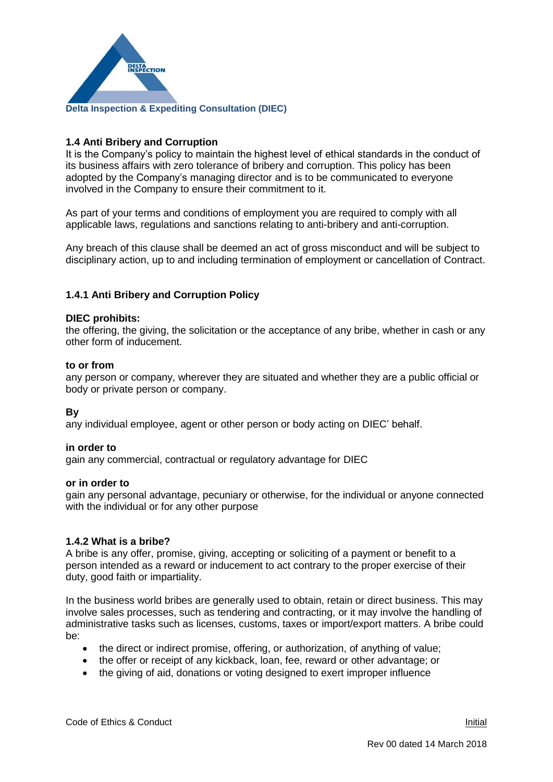

# **1.4 Anti Bribery and Corruption**

It is the Company's policy to maintain the highest level of ethical standards in the conduct of its business affairs with zero tolerance of bribery and corruption. This policy has been adopted by the Company's managing director and is to be communicated to everyone involved in the Company to ensure their commitment to it.

As part of your terms and conditions of employment you are required to comply with all applicable laws, regulations and sanctions relating to anti-bribery and anti-corruption.

Any breach of this clause shall be deemed an act of gross misconduct and will be subject to disciplinary action, up to and including termination of employment or cancellation of Contract.

# **1.4.1 Anti Bribery and Corruption Policy**

#### **DIEC prohibits:**

the offering, the giving, the solicitation or the acceptance of any bribe, whether in cash or any other form of inducement.

#### **to or from**

any person or company, wherever they are situated and whether they are a public official or body or private person or company.

## **By**

any individual employee, agent or other person or body acting on DIEC' behalf.

### **in order to**

gain any commercial, contractual or regulatory advantage for DIEC

#### **or in order to**

gain any personal advantage, pecuniary or otherwise, for the individual or anyone connected with the individual or for any other purpose

### **1.4.2 What is a bribe?**

A bribe is any offer, promise, giving, accepting or soliciting of a payment or benefit to a person intended as a reward or inducement to act contrary to the proper exercise of their duty, good faith or impartiality.

In the business world bribes are generally used to obtain, retain or direct business. This may involve sales processes, such as tendering and contracting, or it may involve the handling of administrative tasks such as licenses, customs, taxes or import/export matters. A bribe could be:

- the direct or indirect promise, offering, or authorization, of anything of value;
- the offer or receipt of any kickback, loan, fee, reward or other advantage; or
- the giving of aid, donations or voting designed to exert improper influence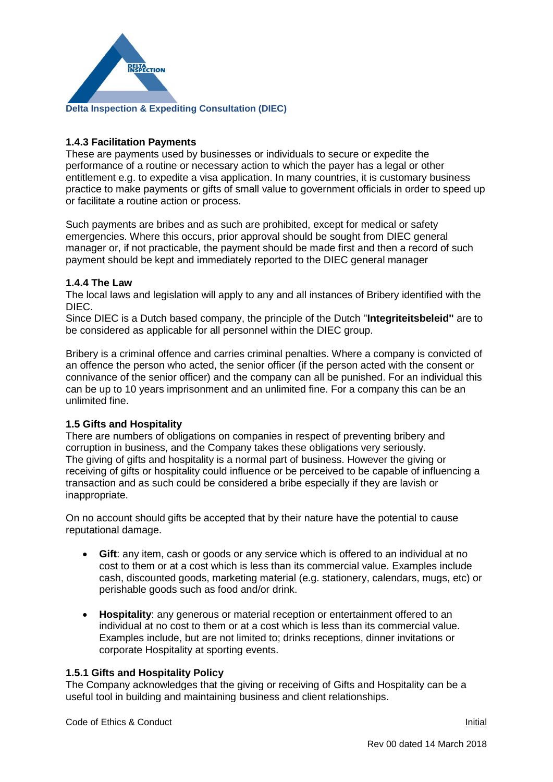

# **1.4.3 Facilitation Payments**

These are payments used by businesses or individuals to secure or expedite the performance of a routine or necessary action to which the payer has a legal or other entitlement e.g. to expedite a visa application. In many countries, it is customary business practice to make payments or gifts of small value to government officials in order to speed up or facilitate a routine action or process.

Such payments are bribes and as such are prohibited, except for medical or safety emergencies. Where this occurs, prior approval should be sought from DIEC general manager or, if not practicable, the payment should be made first and then a record of such payment should be kept and immediately reported to the DIEC general manager

# **1.4.4 The Law**

The local laws and legislation will apply to any and all instances of Bribery identified with the DIEC.

Since DIEC is a Dutch based company, the principle of the Dutch ''**Integriteitsbeleid''** are to be considered as applicable for all personnel within the DIEC group.

Bribery is a criminal offence and carries criminal penalties. Where a company is convicted of an offence the person who acted, the senior officer (if the person acted with the consent or connivance of the senior officer) and the company can all be punished. For an individual this can be up to 10 years imprisonment and an unlimited fine. For a company this can be an unlimited fine.

# **1.5 Gifts and Hospitality**

There are numbers of obligations on companies in respect of preventing bribery and corruption in business, and the Company takes these obligations very seriously. The giving of gifts and hospitality is a normal part of business. However the giving or receiving of gifts or hospitality could influence or be perceived to be capable of influencing a transaction and as such could be considered a bribe especially if they are lavish or inappropriate.

On no account should gifts be accepted that by their nature have the potential to cause reputational damage.

- **Gift**: any item, cash or goods or any service which is offered to an individual at no cost to them or at a cost which is less than its commercial value. Examples include cash, discounted goods, marketing material (e.g. stationery, calendars, mugs, etc) or perishable goods such as food and/or drink.
- **Hospitality**: any generous or material reception or entertainment offered to an individual at no cost to them or at a cost which is less than its commercial value. Examples include, but are not limited to; drinks receptions, dinner invitations or corporate Hospitality at sporting events.

# **1.5.1 Gifts and Hospitality Policy**

The Company acknowledges that the giving or receiving of Gifts and Hospitality can be a useful tool in building and maintaining business and client relationships.

**Code of Ethics & Conduct Initial**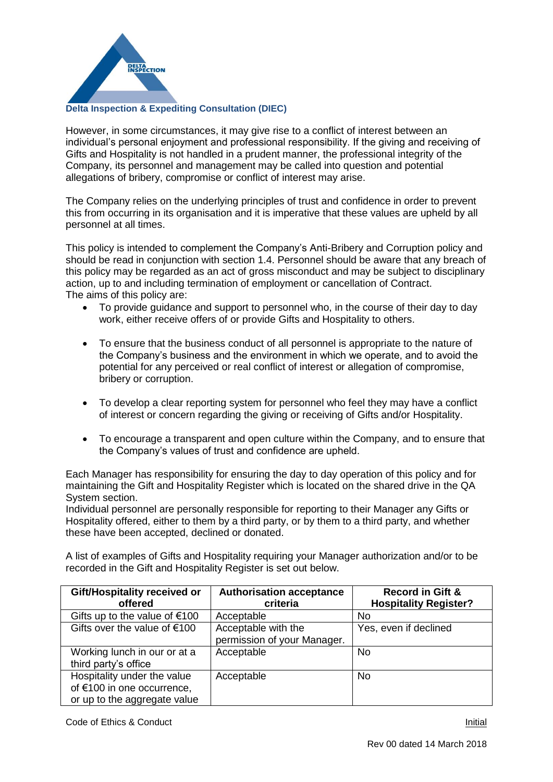

However, in some circumstances, it may give rise to a conflict of interest between an individual's personal enjoyment and professional responsibility. If the giving and receiving of Gifts and Hospitality is not handled in a prudent manner, the professional integrity of the Company, its personnel and management may be called into question and potential allegations of bribery, compromise or conflict of interest may arise.

The Company relies on the underlying principles of trust and confidence in order to prevent this from occurring in its organisation and it is imperative that these values are upheld by all personnel at all times.

This policy is intended to complement the Company's Anti-Bribery and Corruption policy and should be read in conjunction with section 1.4. Personnel should be aware that any breach of this policy may be regarded as an act of gross misconduct and may be subject to disciplinary action, up to and including termination of employment or cancellation of Contract. The aims of this policy are:

- To provide guidance and support to personnel who, in the course of their day to day work, either receive offers of or provide Gifts and Hospitality to others.
- To ensure that the business conduct of all personnel is appropriate to the nature of the Company's business and the environment in which we operate, and to avoid the potential for any perceived or real conflict of interest or allegation of compromise, bribery or corruption.
- To develop a clear reporting system for personnel who feel they may have a conflict of interest or concern regarding the giving or receiving of Gifts and/or Hospitality.
- To encourage a transparent and open culture within the Company, and to ensure that the Company's values of trust and confidence are upheld.

Each Manager has responsibility for ensuring the day to day operation of this policy and for maintaining the Gift and Hospitality Register which is located on the shared drive in the QA System section.

Individual personnel are personally responsible for reporting to their Manager any Gifts or Hospitality offered, either to them by a third party, or by them to a third party, and whether these have been accepted, declined or donated.

A list of examples of Gifts and Hospitality requiring your Manager authorization and/or to be recorded in the Gift and Hospitality Register is set out below.

| Gift/Hospitality received or<br>offered                                                   | <b>Authorisation acceptance</b><br>criteria        | <b>Record in Gift &amp;</b><br><b>Hospitality Register?</b> |
|-------------------------------------------------------------------------------------------|----------------------------------------------------|-------------------------------------------------------------|
| Gifts up to the value of $€100$                                                           | Acceptable                                         | <b>No</b>                                                   |
| Gifts over the value of $€100$                                                            | Acceptable with the<br>permission of your Manager. | Yes, even if declined                                       |
| Working lunch in our or at a<br>third party's office                                      | Acceptable                                         | <b>No</b>                                                   |
| Hospitality under the value<br>of €100 in one occurrence,<br>or up to the aggregate value | Acceptable                                         | <b>No</b>                                                   |

**Code of Ethics & Conduct Initial**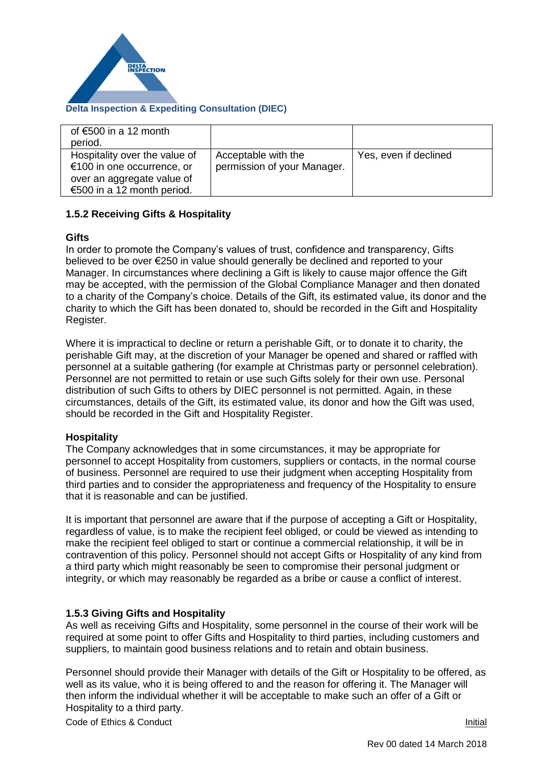

# **Delta Inspection & Expediting Consultation (DIEC)**

| of $€500$ in a 12 month       |                             |                       |
|-------------------------------|-----------------------------|-----------------------|
| period.                       |                             |                       |
| Hospitality over the value of | Acceptable with the         | Yes, even if declined |
| €100 in one occurrence, or    | permission of your Manager. |                       |
| over an aggregate value of    |                             |                       |
| €500 in a 12 month period.    |                             |                       |

# **1.5.2 Receiving Gifts & Hospitality**

## **Gifts**

In order to promote the Company's values of trust, confidence and transparency, Gifts believed to be over €250 in value should generally be declined and reported to your Manager. In circumstances where declining a Gift is likely to cause major offence the Gift may be accepted, with the permission of the Global Compliance Manager and then donated to a charity of the Company's choice. Details of the Gift, its estimated value, its donor and the charity to which the Gift has been donated to, should be recorded in the Gift and Hospitality Register.

Where it is impractical to decline or return a perishable Gift, or to donate it to charity, the perishable Gift may, at the discretion of your Manager be opened and shared or raffled with personnel at a suitable gathering (for example at Christmas party or personnel celebration). Personnel are not permitted to retain or use such Gifts solely for their own use. Personal distribution of such Gifts to others by DIEC personnel is not permitted. Again, in these circumstances, details of the Gift, its estimated value, its donor and how the Gift was used, should be recorded in the Gift and Hospitality Register.

# **Hospitality**

The Company acknowledges that in some circumstances, it may be appropriate for personnel to accept Hospitality from customers, suppliers or contacts, in the normal course of business. Personnel are required to use their judgment when accepting Hospitality from third parties and to consider the appropriateness and frequency of the Hospitality to ensure that it is reasonable and can be justified.

It is important that personnel are aware that if the purpose of accepting a Gift or Hospitality, regardless of value, is to make the recipient feel obliged, or could be viewed as intending to make the recipient feel obliged to start or continue a commercial relationship, it will be in contravention of this policy. Personnel should not accept Gifts or Hospitality of any kind from a third party which might reasonably be seen to compromise their personal judgment or integrity, or which may reasonably be regarded as a bribe or cause a conflict of interest.

# **1.5.3 Giving Gifts and Hospitality**

As well as receiving Gifts and Hospitality, some personnel in the course of their work will be required at some point to offer Gifts and Hospitality to third parties, including customers and suppliers, to maintain good business relations and to retain and obtain business.

Personnel should provide their Manager with details of the Gift or Hospitality to be offered, as well as its value, who it is being offered to and the reason for offering it. The Manager will then inform the individual whether it will be acceptable to make such an offer of a Gift or Hospitality to a third party.

Code of Ethics & Conduct Initial Initial Initial Initial Initial Initial Initial Initial Initial Initial Initial Initial Initial Initial Initial Initial Initial Initial Initial Initial Initial Initial Initial Initial Initi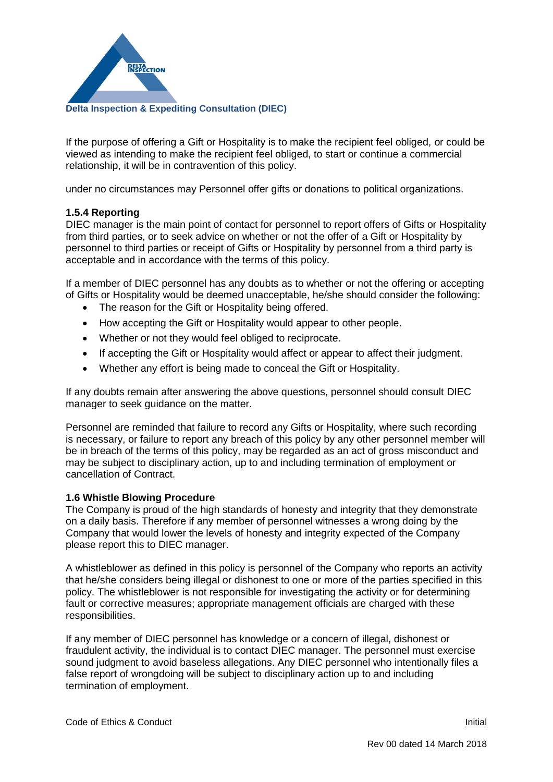

If the purpose of offering a Gift or Hospitality is to make the recipient feel obliged, or could be viewed as intending to make the recipient feel obliged, to start or continue a commercial relationship, it will be in contravention of this policy.

under no circumstances may Personnel offer gifts or donations to political organizations.

# **1.5.4 Reporting**

DIEC manager is the main point of contact for personnel to report offers of Gifts or Hospitality from third parties, or to seek advice on whether or not the offer of a Gift or Hospitality by personnel to third parties or receipt of Gifts or Hospitality by personnel from a third party is acceptable and in accordance with the terms of this policy.

If a member of DIEC personnel has any doubts as to whether or not the offering or accepting of Gifts or Hospitality would be deemed unacceptable, he/she should consider the following:

- The reason for the Gift or Hospitality being offered.
- How accepting the Gift or Hospitality would appear to other people.
- Whether or not they would feel obliged to reciprocate.
- If accepting the Gift or Hospitality would affect or appear to affect their judgment.
- Whether any effort is being made to conceal the Gift or Hospitality.

If any doubts remain after answering the above questions, personnel should consult DIEC manager to seek guidance on the matter.

Personnel are reminded that failure to record any Gifts or Hospitality, where such recording is necessary, or failure to report any breach of this policy by any other personnel member will be in breach of the terms of this policy, may be regarded as an act of gross misconduct and may be subject to disciplinary action, up to and including termination of employment or cancellation of Contract.

### **1.6 Whistle Blowing Procedure**

The Company is proud of the high standards of honesty and integrity that they demonstrate on a daily basis. Therefore if any member of personnel witnesses a wrong doing by the Company that would lower the levels of honesty and integrity expected of the Company please report this to DIEC manager.

A whistleblower as defined in this policy is personnel of the Company who reports an activity that he/she considers being illegal or dishonest to one or more of the parties specified in this policy. The whistleblower is not responsible for investigating the activity or for determining fault or corrective measures; appropriate management officials are charged with these responsibilities.

If any member of DIEC personnel has knowledge or a concern of illegal, dishonest or fraudulent activity, the individual is to contact DIEC manager. The personnel must exercise sound judgment to avoid baseless allegations. Any DIEC personnel who intentionally files a false report of wrongdoing will be subject to disciplinary action up to and including termination of employment.